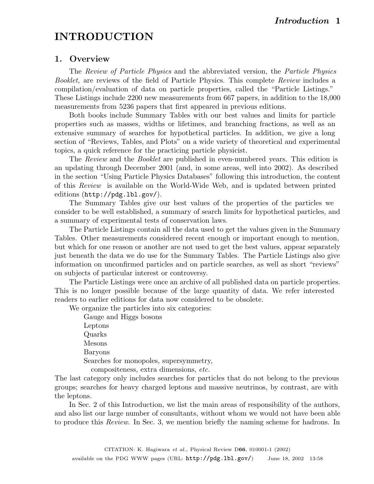# **INTRODUCTION**

### **1. Overview**

The Review of Particle Physics and the abbreviated version, the Particle Physics Booklet, are reviews of the field of Particle Physics. This complete Review includes a compilation/evaluation of data on particle properties, called the "Particle Listings." These Listings include 2200 new measurements from 667 papers, in addition to the 18,000 measurements from 5236 papers that first appeared in previous editions.

Both books include Summary Tables with our best values and limits for particle properties such as masses, widths or lifetimes, and branching fractions, as well as an extensive summary of searches for hypothetical particles. In addition, we give a long section of "Reviews, Tables, and Plots" on a wide variety of theoretical and experimental topics, a quick reference for the practicing particle physicist.

The Review and the Booklet are published in even-numbered years. This edition is an updating through December 2001 (and, in some areas, well into 2002). As described in the section "Using Particle Physics Databases" following this introduction, the content of this Review is available on the World-Wide Web, and is updated between printed editions (http://pdg.lbl.gov/).

The Summary Tables give our best values of the properties of the particles we consider to be well established, a summary of search limits for hypothetical particles, and a summary of experimental tests of conservation laws.

The Particle Listings contain all the data used to get the values given in the Summary Tables. Other measurements considered recent enough or important enough to mention, but which for one reason or another are not used to get the best values, appear separately just beneath the data we do use for the Summary Tables. The Particle Listings also give information on unconfirmed particles and on particle searches, as well as short "reviews" on subjects of particular interest or controversy.

The Particle Listings were once an archive of all published data on particle properties. This is no longer possible because of the large quantity of data. We refer interested readers to earlier editions for data now considered to be obsolete.

We organize the particles into six categories:

Gauge and Higgs bosons Leptons Quarks Mesons Baryons Searches for monopoles, supersymmetry, compositeness, extra dimensions, etc.

The last category only includes searches for particles that do not belong to the previous groups; searches for heavy charged leptons and massive neutrinos, by contrast, are with the leptons.

In Sec. 2 of this Introduction, we list the main areas of responsibility of the authors, and also list our large number of consultants, without whom we would not have been able to produce this Review. In Sec. 3, we mention briefly the naming scheme for hadrons. In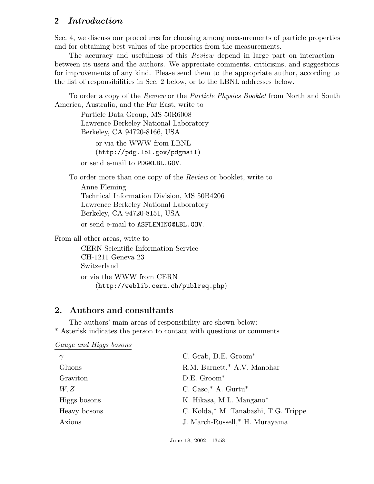Sec. 4, we discuss our procedures for choosing among measurements of particle properties and for obtaining best values of the properties from the measurements.

The accuracy and usefulness of this Review depend in large part on interaction between its users and the authors. We appreciate comments, criticisms, and suggestions for improvements of any kind. Please send them to the appropriate author, according to the list of responsibilities in Sec. 2 below, or to the LBNL addresses below.

To order a copy of the Review or the Particle Physics Booklet from North and South America, Australia, and the Far East, write to

Particle Data Group, MS 50R6008 Lawrence Berkeley National Laboratory Berkeley, CA 94720-8166, USA or via the WWW from LBNL

(http://pdg.lbl.gov/pdgmail)

or send e-mail to PDG@LBL.GOV.

To order more than one copy of the Review or booklet, write to Anne Fleming Technical Information Division, MS 50B4206 Lawrence Berkeley National Laboratory Berkeley, CA 94720-8151, USA or send e-mail to ASFLEMING@LBL.GOV.

From all other areas, write to

CERN Scientific Information Service CH-1211 Geneva 23 Switzerland or via the WWW from CERN (http://weblib.cern.ch/publreq.php)

### **2. Authors and consultants**

The authors' main areas of responsibility are shown below: \* Asterisk indicates the person to contact with questions or comments

Gauge and Higgs bosons

| $\gamma$     | C. Grab, D.E. Groom*                   |
|--------------|----------------------------------------|
| Gluons       | R.M. Barnett,* A.V. Manohar            |
| Graviton     | $D.E. Groom*$                          |
| W, Z         | C. $\text{Caso}^*$ A. $\text{Gurtu}^*$ |
| Higgs bosons | K. Hikasa, M.L. Mangano*               |
| Heavy bosons | C. Kolda,* M. Tanabashi, T.G. Trippe   |
| Axions       | J. March-Russell,* H. Murayama         |
|              |                                        |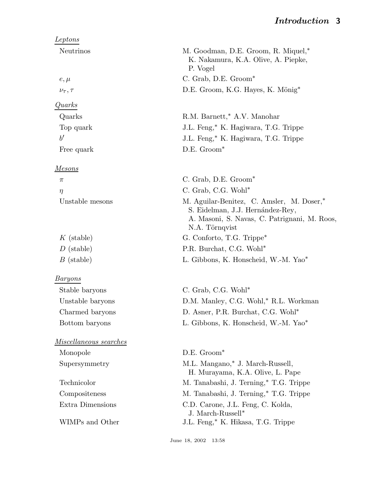| Leptons            |                                                                                                                                                 |
|--------------------|-------------------------------------------------------------------------------------------------------------------------------------------------|
| <b>Neutrinos</b>   | M. Goodman, D.E. Groom, R. Miquel,*<br>K. Nakamura, K.A. Olive, A. Piepke,<br>P. Vogel                                                          |
| $e, \mu$           | C. Grab, D.E. Groom*                                                                                                                            |
| $\nu_{\tau}, \tau$ | D.E. Groom, K.G. Hayes, K. Mönig*                                                                                                               |
| Quarks             |                                                                                                                                                 |
| Quarks             | R.M. Barnett,* A.V. Manohar                                                                                                                     |
| Top quark          | J.L. Feng,* K. Hagiwara, T.G. Trippe                                                                                                            |
| $b^{\prime}$       | J.L. Feng,* K. Hagiwara, T.G. Trippe                                                                                                            |
| Free quark         | D.E. Groom*                                                                                                                                     |
| <u>Mesons</u>      |                                                                                                                                                 |
| $\pi$              | C. Grab, D.E. Groom*                                                                                                                            |
| $\eta$             | $C.$ Grab, C.G. Wohl $*$                                                                                                                        |
| Unstable mesons    | M. Aguilar-Benitez, C. Amsler, M. Doser,*<br>S. Eidelman, J.J. Hernández-Rey,<br>A. Masoni, S. Navas, C. Patrignani, M. Roos,<br>N.A. Törnqvist |
| $K$ (stable)       | G. Conforto, T.G. Trippe <sup>*</sup>                                                                                                           |
| $D$ (stable)       | P.R. Burchat, C.G. Wohl*                                                                                                                        |
| $B$ (stable)       | L. Gibbons, K. Honscheid, W.-M. Yao*                                                                                                            |
|                    |                                                                                                                                                 |

Baryons

Miscellaneous searches

| Stable baryons   | C. Grab, C.G. Wohl $*$                |
|------------------|---------------------------------------|
| Unstable baryons | D.M. Manley, C.G. Wohl,* R.L. Workman |
| Charmed baryons  | D. Asner, P.R. Burchat, C.G. Wohl*    |
| Bottom baryons   | L. Gibbons, K. Honscheid, W.-M. Yao*  |
|                  |                                       |

Monopole D.E. Groom∗ Supersymmetry M.L. Mangano,∗ J. March-Russell, H. Murayama, K.A. Olive, L. Pape Technicolor M. Tanabashi, J. Terning,∗ T.G. Trippe Compositeness M. Tanabashi, J. Terning,∗ T.G. Trippe Extra Dimensions C.D. Carone, J.L. Feng, C. Kolda, J. March-Russell∗ WIMPs and Other J.L. Feng,<sup>\*</sup> K. Hikasa, T.G. Trippe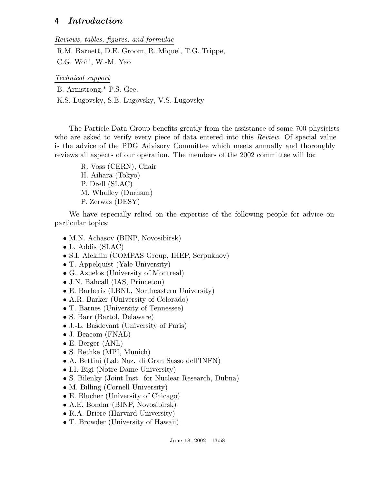Reviews, tables, figures, and formulae

R.M. Barnett, D.E. Groom, R. Miquel, T.G. Trippe, C.G. Wohl, W.-M. Yao

Technical support

B. Armstrong,∗ P.S. Gee,

K.S. Lugovsky, S.B. Lugovsky, V.S. Lugovsky

The Particle Data Group benefits greatly from the assistance of some 700 physicists who are asked to verify every piece of data entered into this Review. Of special value is the advice of the PDG Advisory Committee which meets annually and thoroughly reviews all aspects of our operation. The members of the 2002 committee will be:

R. Voss (CERN), Chair H. Aihara (Tokyo) P. Drell (SLAC) M. Whalley (Durham) P. Zerwas (DESY)

We have especially relied on the expertise of the following people for advice on particular topics:

- M.N. Achasov (BINP, Novosibirsk)
- L. Addis (SLAC)
- S.I. Alekhin (COMPAS Group, IHEP, Serpukhov)
- T. Appelquist (Yale University)
- G. Azuelos (University of Montreal)
- J.N. Bahcall (IAS, Princeton)
- E. Barberis (LBNL, Northeastern University)
- A.R. Barker (University of Colorado)
- T. Barnes (University of Tennessee)
- S. Barr (Bartol, Delaware)
- J.-L. Basdevant (University of Paris)
- J. Beacom (FNAL)
- E. Berger (ANL)
- S. Bethke (MPI, Munich)
- A. Bettini (Lab Naz. di Gran Sasso dell'INFN)
- I.I. Bigi (Notre Dame University)
- S. Bilenky (Joint Inst. for Nuclear Research, Dubna)
- M. Billing (Cornell University)
- E. Blucher (University of Chicago)
- A.E. Bondar (BINP, Novosibirsk)
- R.A. Briere (Harvard University)
- T. Browder (University of Hawaii)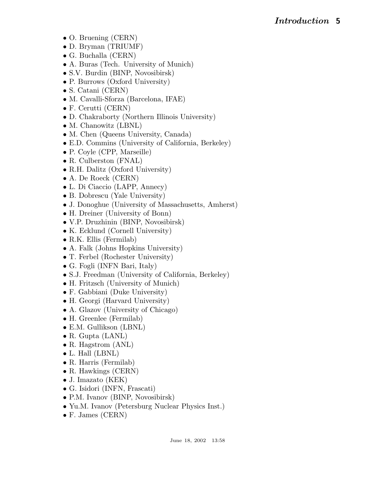- O. Bruening (CERN)
- D. Bryman (TRIUMF)
- G. Buchalla (CERN)
- A. Buras (Tech. University of Munich)
- S.V. Burdin (BINP, Novosibirsk)
- P. Burrows (Oxford University)
- S. Catani (CERN)
- M. Cavalli-Sforza (Barcelona, IFAE)
- F. Cerutti (CERN)
- D. Chakraborty (Northern Illinois University)
- M. Chanowitz (LBNL)
- M. Chen (Queens University, Canada)
- E.D. Commins (University of California, Berkeley)
- P. Coyle (CPP, Marseille)
- R. Culberston (FNAL)
- R.H. Dalitz (Oxford University)
- A. De Roeck (CERN)
- L. Di Ciaccio (LAPP, Annecy)
- B. Dobrescu (Yale University)
- J. Donoghue (University of Massachusetts, Amherst)
- H. Dreiner (University of Bonn)
- V.P. Druzhinin (BINP, Novosibirsk)
- K. Ecklund (Cornell University)
- R.K. Ellis (Fermilab)
- A. Falk (Johns Hopkins University)
- T. Ferbel (Rochester University)
- G. Fogli (INFN Bari, Italy)
- S.J. Freedman (University of California, Berkeley)
- H. Fritzsch (University of Munich)
- F. Gabbiani (Duke University)
- H. Georgi (Harvard University)
- A. Glazov (University of Chicago)
- H. Greenlee (Fermilab)
- E.M. Gullikson (LBNL)
- R. Gupta (LANL)
- R. Hagstrom (ANL)
- L. Hall (LBNL)
- R. Harris (Fermilab)
- R. Hawkings (CERN)
- J. Imazato (KEK)
- G. Isidori (INFN, Frascati)
- P.M. Ivanov (BINP, Novosibirsk)
- Yu.M. Ivanov (Petersburg Nuclear Physics Inst.)
- F. James (CERN)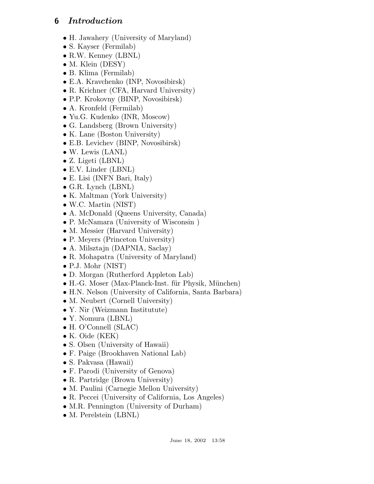- H. Jawahery (University of Maryland)
- S. Kayser (Fermilab)
- R.W. Kenney (LBNL)
- M. Klein (DESY)
- B. Klima (Fermilab)
- E.A. Kravchenko (INP, Novosibirsk)
- R. Krichner (CFA, Harvard University)
- P.P. Krokovny (BINP, Novosibirsk)
- A. Kronfeld (Fermilab)
- Yu.G. Kudenko (INR, Moscow)
- G. Landsberg (Brown University)
- K. Lane (Boston University)
- E.B. Levichev (BINP, Novosibirsk)
- W. Lewis (LANL)
- Z. Ligeti (LBNL)
- E.V. Linder (LBNL)
- E. Lisi (INFN Bari, Italy)
- G.R. Lynch (LBNL)
- K. Maltman (York University)
- W.C. Martin (NIST)
- A. McDonald (Queens University, Canada)
- P. McNamara (University of Wisconsin )
- M. Messier (Harvard University)
- P. Meyers (Princeton University)
- A. Milsztajn (DAPNIA, Saclay)
- R. Mohapatra (University of Maryland)
- P.J. Mohr (NIST)
- D. Morgan (Rutherford Appleton Lab)
- H.-G. Moser (Max-Planck-Inst. für Physik, München)
- H.N. Nelson (University of California, Santa Barbara)
- M. Neubert (Cornell University)
- Y. Nir (Weizmann Institutute)
- Y. Nomura (LBNL)
- H. O'Connell (SLAC)
- K. Oide (KEK)
- S. Olsen (University of Hawaii)
- F. Paige (Brookhaven National Lab)
- S. Pakvasa (Hawaii)
- F. Parodi (University of Genova)
- R. Partridge (Brown University)
- M. Paulini (Carnegie Mellon University)
- R. Peccei (University of California, Los Angeles)
- M.R. Pennington (University of Durham)
- M. Perelstein (LBNL)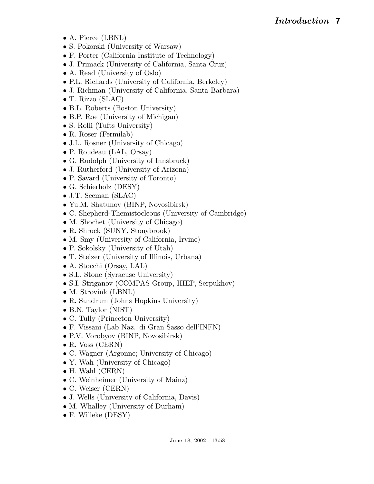- A. Pierce (LBNL)
- S. Pokorski (University of Warsaw)
- F. Porter (California Institute of Technology)
- J. Primack (University of California, Santa Cruz)
- A. Read (University of Oslo)
- P.L. Richards (University of California, Berkeley)
- J. Richman (University of California, Santa Barbara)
- T. Rizzo (SLAC)
- B.L. Roberts (Boston University)
- B.P. Roe (University of Michigan)
- S. Rolli (Tufts University)
- R. Roser (Fermilab)
- J.L. Rosner (University of Chicago)
- P. Roudeau (LAL, Orsay)
- G. Rudolph (University of Innsbruck)
- J. Rutherford (University of Arizona)
- P. Savard (University of Toronto)
- G. Schierholz (DESY)
- J.T. Seeman (SLAC)
- Yu.M. Shatunov (BINP, Novosibirsk)
- C. Shepherd-Themistocleous (University of Cambridge)
- M. Shochet (University of Chicago)
- R. Shrock (SUNY, Stonybrook)
- M. Smy (University of California, Irvine)
- P. Sokolsky (University of Utah)
- T. Stelzer (University of Illinois, Urbana)
- A. Stocchi (Orsay, LAL)
- S.L. Stone (Syracuse University)
- S.I. Striganov (COMPAS Group, IHEP, Serpukhov)
- M. Strovink (LBNL)
- R. Sundrum (Johns Hopkins University)
- B.N. Taylor (NIST)
- C. Tully (Princeton University)
- F. Vissani (Lab Naz. di Gran Sasso dell'INFN)
- P.V. Vorobyov (BINP, Novosibirsk)
- R. Voss (CERN)
- C. Wagner (Argonne; University of Chicago)
- Y. Wah (University of Chicago)
- H. Wahl (CERN)
- C. Weinheimer (University of Mainz)
- C. Weiser (CERN)
- J. Wells (University of California, Davis)
- M. Whalley (University of Durham)
- F. Willeke (DESY)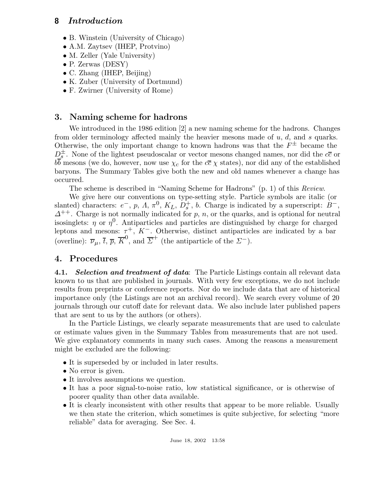- B. Winstein (University of Chicago)
- A.M. Zaytsev (IHEP, Protvino)
- M. Zeller (Yale University)
- P. Zerwas (DESY)
- C. Zhang (IHEP, Beijing)
- K. Zuber (University of Dortmund)
- F. Zwirner (University of Rome)

# **3. Naming scheme for hadrons**

We introduced in the 1986 edition [2] a new naming scheme for the hadrons. Changes from older terminology affected mainly the heavier mesons made of  $u, d$ , and  $s$  quarks. Otherwise, the only important change to known hadrons was that the  $F^{\pm}$  became the  $D_s^{\pm}$ . None of the lightest pseudoscalar or vector mesons changed names, nor did the  $c\overline{c}$  or bb mesons (we do, however, now use  $\chi_c$  for the  $c\bar{c} \chi$  states), nor did any of the established baryons. The Summary Tables give both the new and old names whenever a change has occurred.

The scheme is described in "Naming Scheme for Hadrons" (p. 1) of this Review.

We give here our conventions on type-setting style. Particle symbols are italic (or slanted) characters:  $e^-$ , p,  $\Lambda$ ,  $\pi^0$ ,  $K_L$ ,  $\overline{D_s^+}$ , b. Charge is indicated by a superscript:  $\overline{B}^-$ ,  $\Delta^{++}$ . Charge is not normally indicated for p, n, or the quarks, and is optional for neutral isosinglets:  $\eta$  or  $\eta^0$ . Antiparticles and particles are distinguished by charge for charged leptons and mesons:  $\tau^+$ , K<sup>-</sup>. Otherwise, distinct antiparticles are indicated by a bar (overline):  $\overline{\nu}_{\mu}$ ,  $\overline{t}$ ,  $\overline{p}$ ,  $\overline{K}^{0}$ , and  $\overline{\Sigma}^{+}$  (the antiparticle of the  $\Sigma^{-}$ ).

# **4. Procedures**

**4.1.** *Selection and treatment of data*: The Particle Listings contain all relevant data known to us that are published in journals. With very few exceptions, we do not include results from preprints or conference reports. Nor do we include data that are of historical importance only (the Listings are not an archival record). We search every volume of 20 journals through our cutoff date for relevant data. We also include later published papers that are sent to us by the authors (or others).

In the Particle Listings, we clearly separate measurements that are used to calculate or estimate values given in the Summary Tables from measurements that are not used. We give explanatory comments in many such cases. Among the reasons a measurement might be excluded are the following:

- It is superseded by or included in later results.
- No error is given.
- It involves assumptions we question.
- It has a poor signal-to-noise ratio, low statistical significance, or is otherwise of poorer quality than other data available.
- It is clearly inconsistent with other results that appear to be more reliable. Usually we then state the criterion, which sometimes is quite subjective, for selecting "more reliable" data for averaging. See Sec. 4.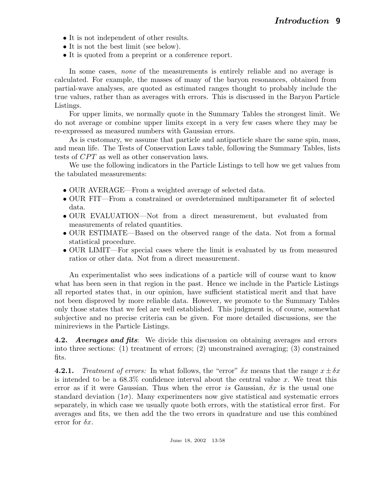- It is not independent of other results.
- It is not the best limit (see below).
- It is quoted from a preprint or a conference report.

In some cases, none of the measurements is entirely reliable and no average is calculated. For example, the masses of many of the baryon resonances, obtained from partial-wave analyses, are quoted as estimated ranges thought to probably include the true values, rather than as averages with errors. This is discussed in the Baryon Particle Listings.

For upper limits, we normally quote in the Summary Tables the strongest limit. We do not average or combine upper limits except in a very few cases where they may be re-expressed as measured numbers with Gaussian errors.

As is customary, we assume that particle and antiparticle share the same spin, mass, and mean life. The Tests of Conservation Laws table, following the Summary Tables, lists tests of CPT as well as other conservation laws.

We use the following indicators in the Particle Listings to tell how we get values from the tabulated measurements:

- OUR AVERAGE—From a weighted average of selected data.
- OUR FIT—From a constrained or overdetermined multiparameter fit of selected data.
- OUR EVALUATION—Not from a direct measurement, but evaluated from measurements of related quantities.
- OUR ESTIMATE—Based on the observed range of the data. Not from a formal statistical procedure.
- OUR LIMIT—For special cases where the limit is evaluated by us from measured ratios or other data. Not from a direct measurement.

An experimentalist who sees indications of a particle will of course want to know what has been seen in that region in the past. Hence we include in the Particle Listings all reported states that, in our opinion, have sufficient statistical merit and that have not been disproved by more reliable data. However, we promote to the Summary Tables only those states that we feel are well established. This judgment is, of course, somewhat subjective and no precise criteria can be given. For more detailed discussions, see the minireviews in the Particle Listings.

**4.2.** *Averages and fits*: We divide this discussion on obtaining averages and errors into three sections: (1) treatment of errors; (2) unconstrained averaging; (3) constrained fits.

**4.2.1.** Treatment of errors: In what follows, the "error"  $\delta x$  means that the range  $x \pm \delta x$ is intended to be a  $68.3\%$  confidence interval about the central value x. We treat this error as if it were Gaussian. Thus when the error is Gaussian,  $\delta x$  is the usual one standard deviation  $(1\sigma)$ . Many experimenters now give statistical and systematic errors separately, in which case we usually quote both errors, with the statistical error first. For averages and fits, we then add the the two errors in quadrature and use this combined error for  $\delta x$ .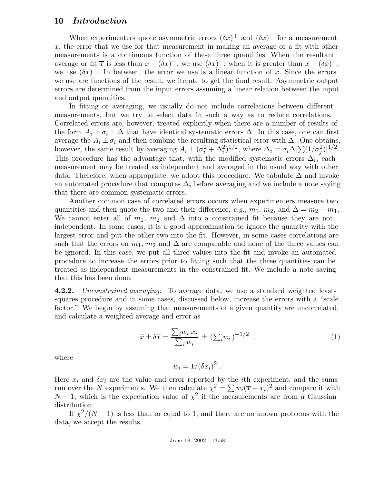When experimenters quote asymmetric errors  $(\delta x)^+$  and  $(\delta x)^-$  for a measurement x, the error that we use for that measurement in making an average or a fit with other measurements is a continuous function of these three quantities. When the resultant average or fit  $\overline{x}$  is less than  $x - (\delta x)^{-}$ , we use  $(\delta x)^{-}$ ; when it is greater than  $x + (\delta x)^{+}$ , we use  $(\delta x)^{+}$ . In between, the error we use is a linear function of x. Since the errors we use are functions of the result, we iterate to get the final result. Asymmetric output errors are determined from the input errors assuming a linear relation between the input and output quantities.

In fitting or averaging, we usually do not include correlations between different measurements, but we try to select data in such a way as to reduce correlations. Correlated errors are, however, treated explicitly when there are a number of results of the form  $A_i \pm \sigma_i \pm \Delta$  that have identical systematic errors  $\Delta$ . In this case, one can first average the  $A_i \pm \sigma_i$  and then combine the resulting statistical error with  $\Delta$ . One obtains, however, the same result by averaging  $A_i \pm (\sigma_i^2 + \Delta_i^2)^{1/2}$ , where  $\Delta_i = \sigma_i \Delta [\sum (1/\sigma_j^2)]^{1/2}$ . This procedure has the advantage that, with the modified systematic errors  $\Delta_i$ , each measurement may be treated as independent and averaged in the usual way with other data. Therefore, when appropriate, we adopt this procedure. We tabulate  $\Delta$  and invoke an automated procedure that computes  $\Delta_i$  before averaging and we include a note saying that there are common systematic errors.

Another common case of correlated errors occurs when experimenters measure two quantities and then quote the two and their difference, e.g.,  $m_1$ ,  $m_2$ , and  $\Delta = m_2 - m_1$ . We cannot enter all of  $m_1$ ,  $m_2$  and  $\Delta$  into a constrained fit because they are not independent. In some cases, it is a good approximation to ignore the quantity with the largest error and put the other two into the fit. However, in some cases correlations are such that the errors on  $m_1$ ,  $m_2$  and  $\Delta$  are comparable and none of the three values can be ignored. In this case, we put all three values into the fit and invoke an automated procedure to increase the errors prior to fitting such that the three quantities can be treated as independent measurements in the constrained fit. We include a note saying that this has been done.

**4.2.2.** Unconstrained averaging: To average data, we use a standard weighted leastsquares procedure and in some cases, discussed below, increase the errors with a "scale factor." We begin by assuming that measurements of a given quantity are uncorrelated, and calculate a weighted average and error as

$$
\overline{x} \pm \delta \overline{x} = \frac{\sum_i w_i x_i}{\sum_i w_i} \pm (\sum_i w_i)^{-1/2} , \qquad (1)
$$

where

$$
w_i = 1/(\delta x_i)^2.
$$

Here  $x_i$  and  $\delta x_i$  are the value and error reported by the *i*th experiment, and the sums run over the N experiments. We then calculate  $\chi^2 = \sum w_i (\overline{x} - x_i)^2$  and compare it with  $N-1$ , which is the expectation value of  $\chi^2$  if the measurements are from a Gaussian distribution.

If  $\chi^2/(N-1)$  is less than or equal to 1, and there are no known problems with the data, we accept the results.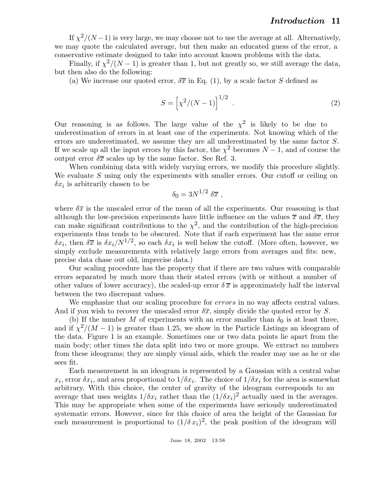If  $\chi^2/(N-1)$  is very large, we may choose not to use the average at all. Alternatively, we may quote the calculated average, but then make an educated guess of the error, a conservative estimate designed to take into account known problems with the data.

Finally, if  $\chi^2/(N-1)$  is greater than 1, but not greatly so, we still average the data, but then also do the following:

(a) We increase our quoted error,  $\delta \overline{x}$  in Eq. (1), by a scale factor S defined as

$$
S = \left[ \chi^2 / (N - 1) \right]^{1/2} \tag{2}
$$

Our reasoning is as follows. The large value of the  $\chi^2$  is likely to be due to underestimation of errors in at least one of the experiments. Not knowing which of the errors are underestimated, we assume they are all underestimated by the same factor S. If we scale up all the input errors by this factor, the  $\chi^2$  becomes  $N-1$ , and of course the output error  $\delta \overline{x}$  scales up by the same factor. See Ref. 3.

When combining data with widely varying errors, we modify this procedure slightly. We evaluate  $S$  using only the experiments with smaller errors. Our cutoff or ceiling on  $\delta x_i$  is arbitrarily chosen to be

$$
\delta_0 = 3N^{1/2} \delta \overline{x} ,
$$

where  $\delta \overline{x}$  is the unscaled error of the mean of all the experiments. Our reasoning is that although the low-precision experiments have little influence on the values  $\bar{x}$  and  $\delta \bar{x}$ , they can make significant contributions to the  $\chi^2$ , and the contribution of the high-precision experiments thus tends to be obscured. Note that if each experiment has the same error  $\delta x_i$ , then  $\delta \overline{x}$  is  $\delta x_i/N^{1/2}$ , so each  $\delta x_i$  is well below the cutoff. (More often, however, we simply exclude measurements with relatively large errors from averages and fits: new, precise data chase out old, imprecise data.)

Our scaling procedure has the property that if there are two values with comparable errors separated by much more than their stated errors (with or without a number of other values of lower accuracy), the scaled-up error  $\delta \bar{x}$  is approximately half the interval between the two discrepant values.

We emphasize that our scaling procedure for *errors* in no way affects central values. And if you wish to recover the unscaled error  $\delta \overline{x}$ , simply divide the quoted error by S.

(b) If the number M of experiments with an error smaller than  $\delta_0$  is at least three, and if  $\chi^2/(M-1)$  is greater than 1.25, we show in the Particle Listings an ideogram of the data. Figure 1 is an example. Sometimes one or two data points lie apart from the main body; other times the data split into two or more groups. We extract no numbers from these ideograms; they are simply visual aids, which the reader may use as he or she sees fit.

Each measurement in an ideogram is represented by a Gaussian with a central value  $x_i$ , error  $\delta x_i$ , and area proportional to  $1/\delta x_i$ . The choice of  $1/\delta x_i$  for the area is somewhat arbitrary. With this choice, the center of gravity of the ideogram corresponds to an average that uses weights  $1/\delta x_i$  rather than the  $(1/\delta x_i)^2$  actually used in the averages. This may be appropriate when some of the experiments have seriously underestimated systematic errors. However, since for this choice of area the height of the Gaussian for each measurement is proportional to  $(1/\delta x_i)^2$ , the peak position of the ideogram will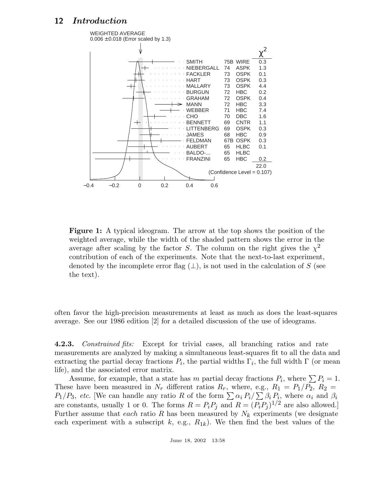

**Figure 1:** A typical ideogram. The arrow at the top shows the position of the weighted average, while the width of the shaded pattern shows the error in the average after scaling by the factor S. The column on the right gives the  $\chi^2$ contribution of each of the experiments. Note that the next-to-last experiment, denoted by the incomplete error flag  $(\perp)$ , is not used in the calculation of S (see the text).

often favor the high-precision measurements at least as much as does the least-squares average. See our 1986 edition [2] for a detailed discussion of the use of ideograms.

**4.2.3.** Constrained fits: Except for trivial cases, all branching ratios and rate measurements are analyzed by making a simultaneous least-squares fit to all the data and extracting the partial decay fractions  $P_i$ , the partial widths  $\Gamma_i$ , the full width  $\Gamma$  (or mean life), and the associated error matrix.

Assume, for example, that a state has m partial decay fractions  $P_i$ , where  $\sum P_i = 1$ . These have been measured in  $N_r$  different ratios  $R_r$ , where, e.g.,  $R_1 = P_1/P_2$ ,  $R_2 =$  $P_1/P_3$ , etc. [We can handle any ratio R of the form  $\sum \alpha_i P_i/\sum \beta_i P_i$ , where  $\alpha_i$  and  $\beta_i$ are constants, usually 1 or 0. The forms  $R = P_i P_j$  and  $R = (P_i P_j)^{1/2}$  are also allowed.] Further assume that each ratio R has been measured by  $N_k$  experiments (we designate each experiment with a subscript k, e.g.,  $R_{1k}$ ). We then find the best values of the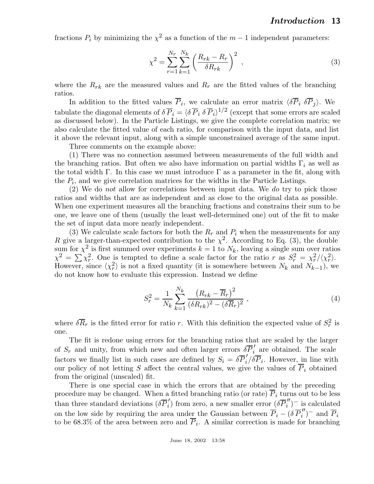fractions  $P_i$  by minimizing the  $\chi^2$  as a function of the  $m-1$  independent parameters:

$$
\chi^2 = \sum_{r=1}^{N_r} \sum_{k=1}^{N_k} \left( \frac{R_{rk} - R_r}{\delta R_{rk}} \right)^2 , \qquad (3)
$$

where the  $R_{rk}$  are the measured values and  $R_r$  are the fitted values of the branching ratios.

In addition to the fitted values  $\overline{P}_i$ , we calculate an error matrix  $\langle \delta \overline{P}_i \ \delta \overline{P}_j \rangle$ . We tabulate the diagonal elements of  $\delta \overline{P}_i = \langle \delta \overline{P}_i \delta \overline{P}_i \rangle^{1/2}$  (except that some errors are scaled as discussed below). In the Particle Listings, we give the complete correlation matrix; we also calculate the fitted value of each ratio, for comparison with the input data, and list it above the relevant input, along with a simple unconstrained average of the same input.

Three comments on the example above:

(1) There was no connection assumed between measurements of the full width and the branching ratios. But often we also have information on partial widths  $\Gamma_i$  as well as the total width Γ. In this case we must introduce  $\Gamma$  as a parameter in the fit, along with the  $P_i$ , and we give correlation matrices for the widths in the Particle Listings.

(2) We do not allow for correlations between input data. We do try to pick those ratios and widths that are as independent and as close to the original data as possible. When one experiment measures all the branching fractions and constrains their sum to be one, we leave one of them (usually the least well-determined one) out of the fit to make the set of input data more nearly independent.

(3) We calculate scale factors for both the  $R_r$  and  $P_i$  when the measurements for any R give a larger-than-expected contribution to the  $\chi^2$ . According to Eq. (3), the double sum for  $\chi^2$  is first summed over experiments  $k = 1$  to  $N_k$ , leaving a single sum over ratios  $\chi^2 = \sum \chi^2_r$ . One is tempted to define a scale factor for the ratio r as  $S_r^2 = \chi^2_r / \langle \chi^2_r \rangle$ . However, since  $\langle \chi^2_r \rangle$  is not a fixed quantity (it is somewhere between  $N_k$  and  $N_{k-1}$ ), we do not know how to evaluate this expression. Instead we define

$$
S_r^2 = \frac{1}{N_k} \sum_{k=1}^{N_k} \frac{\left(R_{rk} - \overline{R}_r\right)^2}{(\delta R_{rk})^2 - (\delta \overline{R}_r)^2} \,,\tag{4}
$$

where  $\delta \overline{R}_r$  is the fitted error for ratio r. With this definition the expected value of  $S_r^2$  is one.

The fit is redone using errors for the branching ratios that are scaled by the larger of  $S_r$  and unity, from which new and often larger errors  $\delta \overline{P}'_i$  are obtained. The scale factors we finally list in such cases are defined by  $S_i = \delta \overline{P}'_i / \delta \overline{P}_i$ . However, in line with our policy of not letting S affect the central values, we give the values of  $P_i$  obtained from the original (unscaled) fit.

There is one special case in which the errors that are obtained by the preceding procedure may be changed. When a fitted branching ratio (or rate)  $\overline{P}_i$  turns out to be less than three standard deviations  $(\delta \overline{P}'_i)$  from zero, a new smaller error  $(\delta \overline{P}''_i)^-$  is calculated on the low side by requiring the area under the Gaussian between  $\overline{P}_i - (\delta \overline{P}_i'')^-$  and  $\overline{P}_i$ to be 68.3% of the area between zero and  $\overline{P}_i$ . A similar correction is made for branching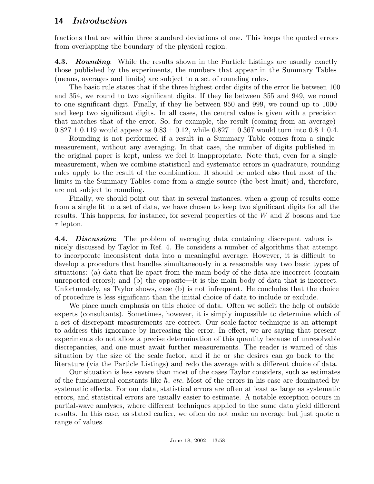fractions that are within three standard deviations of one. This keeps the quoted errors from overlapping the boundary of the physical region.

**4.3.** *Rounding*: While the results shown in the Particle Listings are usually exactly those published by the experiments, the numbers that appear in the Summary Tables (means, averages and limits) are subject to a set of rounding rules.

The basic rule states that if the three highest order digits of the error lie between 100 and 354, we round to two significant digits. If they lie between 355 and 949, we round to one significant digit. Finally, if they lie between 950 and 999, we round up to 1000 and keep two significant digits. In all cases, the central value is given with a precision that matches that of the error. So, for example, the result (coming from an average)  $0.827 \pm 0.119$  would appear as  $0.83 \pm 0.12$ , while  $0.827 \pm 0.367$  would turn into  $0.8 \pm 0.4$ .

Rounding is not performed if a result in a Summary Table comes from a single measurement, without any averaging. In that case, the number of digits published in the original paper is kept, unless we feel it inappropriate. Note that, even for a single measurement, when we combine statistical and systematic errors in quadrature, rounding rules apply to the result of the combination. It should be noted also that most of the limits in the Summary Tables come from a single source (the best limit) and, therefore, are not subject to rounding.

Finally, we should point out that in several instances, when a group of results come from a single fit to a set of data, we have chosen to keep two significant digits for all the results. This happens, for instance, for several properties of the W and Z bosons and the  $\tau$  lepton.

**4.4.** *Discussion*: The problem of averaging data containing discrepant values is nicely discussed by Taylor in Ref. 4. He considers a number of algorithms that attempt to incorporate inconsistent data into a meaningful average. However, it is difficult to develop a procedure that handles simultaneously in a reasonable way two basic types of situations: (a) data that lie apart from the main body of the data are incorrect (contain unreported errors); and (b) the opposite—it is the main body of data that is incorrect. Unfortunately, as Taylor shows, case (b) is not infrequent. He concludes that the choice of procedure is less significant than the initial choice of data to include or exclude.

We place much emphasis on this choice of data. Often we solicit the help of outside experts (consultants). Sometimes, however, it is simply impossible to determine which of a set of discrepant measurements are correct. Our scale-factor technique is an attempt to address this ignorance by increasing the error. In effect, we are saying that present experiments do not allow a precise determination of this quantity because of unresolvable discrepancies, and one must await further measurements. The reader is warned of this situation by the size of the scale factor, and if he or she desires can go back to the literature (via the Particle Listings) and redo the average with a different choice of data.

Our situation is less severe than most of the cases Taylor considers, such as estimates of the fundamental constants like  $\hbar$ , etc. Most of the errors in his case are dominated by systematic effects. For our data, statistical errors are often at least as large as systematic errors, and statistical errors are usually easier to estimate. A notable exception occurs in partial-wave analyses, where different techniques applied to the same data yield different results. In this case, as stated earlier, we often do not make an average but just quote a range of values.